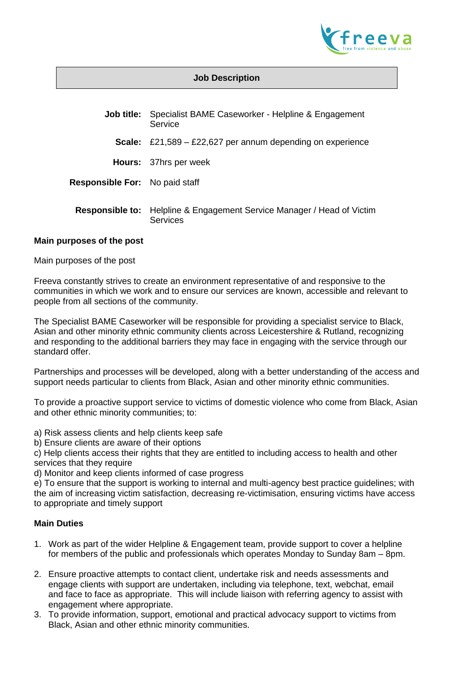

## **Job Description**

| <b>Job title:</b>                     | Specialist BAME Caseworker - Helpline & Engagement<br>Service      |
|---------------------------------------|--------------------------------------------------------------------|
| Scale:                                | £21,589 – £22,627 per annum depending on experience                |
|                                       | <b>Hours:</b> 37hrs per week                                       |
| <b>Responsible For:</b> No paid staff |                                                                    |
| <b>Responsible to:</b>                | Helpline & Engagement Service Manager / Head of Victim<br>Services |

#### **Main purposes of the post**

Main purposes of the post

Freeva constantly strives to create an environment representative of and responsive to the communities in which we work and to ensure our services are known, accessible and relevant to people from all sections of the community.

The Specialist BAME Caseworker will be responsible for providing a specialist service to Black, Asian and other minority ethnic community clients across Leicestershire & Rutland, recognizing and responding to the additional barriers they may face in engaging with the service through our standard offer.

Partnerships and processes will be developed, along with a better understanding of the access and support needs particular to clients from Black, Asian and other minority ethnic communities.

To provide a proactive support service to victims of domestic violence who come from Black, Asian and other ethnic minority communities; to:

- a) Risk assess clients and help clients keep safe
- b) Ensure clients are aware of their options

c) Help clients access their rights that they are entitled to including access to health and other services that they require

d) Monitor and keep clients informed of case progress

e) To ensure that the support is working to internal and multi-agency best practice guidelines; with the aim of increasing victim satisfaction, decreasing re-victimisation, ensuring victims have access to appropriate and timely support

### **Main Duties**

- 1. Work as part of the wider Helpline & Engagement team, provide support to cover a helpline for members of the public and professionals which operates Monday to Sunday 8am – 8pm.
- 2. Ensure proactive attempts to contact client, undertake risk and needs assessments and engage clients with support are undertaken, including via telephone, text, webchat, email and face to face as appropriate. This will include liaison with referring agency to assist with engagement where appropriate.
- 3. To provide information, support, emotional and practical advocacy support to victims from Black, Asian and other ethnic minority communities.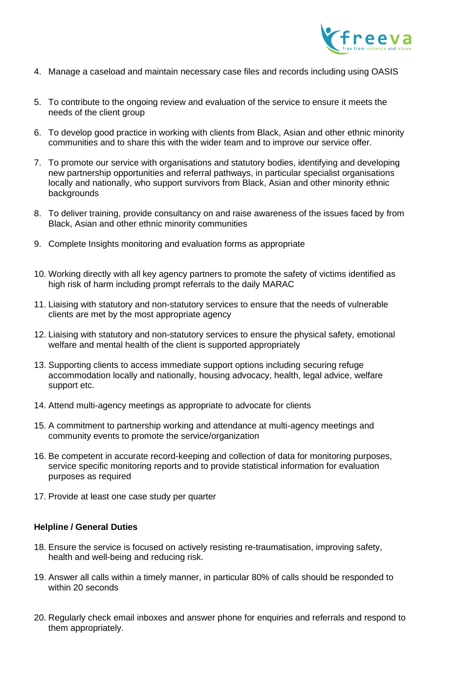

- 4. Manage a caseload and maintain necessary case files and records including using OASIS
- 5. To contribute to the ongoing review and evaluation of the service to ensure it meets the needs of the client group
- 6. To develop good practice in working with clients from Black, Asian and other ethnic minority communities and to share this with the wider team and to improve our service offer.
- 7. To promote our service with organisations and statutory bodies, identifying and developing new partnership opportunities and referral pathways, in particular specialist organisations locally and nationally, who support survivors from Black, Asian and other minority ethnic backgrounds
- 8. To deliver training, provide consultancy on and raise awareness of the issues faced by from Black, Asian and other ethnic minority communities
- 9. Complete Insights monitoring and evaluation forms as appropriate
- 10. Working directly with all key agency partners to promote the safety of victims identified as high risk of harm including prompt referrals to the daily MARAC
- 11. Liaising with statutory and non-statutory services to ensure that the needs of vulnerable clients are met by the most appropriate agency
- 12. Liaising with statutory and non-statutory services to ensure the physical safety, emotional welfare and mental health of the client is supported appropriately
- 13. Supporting clients to access immediate support options including securing refuge accommodation locally and nationally, housing advocacy, health, legal advice, welfare support etc.
- 14. Attend multi-agency meetings as appropriate to advocate for clients
- 15. A commitment to partnership working and attendance at multi-agency meetings and community events to promote the service/organization
- 16. Be competent in accurate record-keeping and collection of data for monitoring purposes, service specific monitoring reports and to provide statistical information for evaluation purposes as required
- 17. Provide at least one case study per quarter

## **Helpline / General Duties**

- 18. Ensure the service is focused on actively resisting re-traumatisation, improving safety, health and well-being and reducing risk.
- 19. Answer all calls within a timely manner, in particular 80% of calls should be responded to within 20 seconds
- 20. Regularly check email inboxes and answer phone for enquiries and referrals and respond to them appropriately.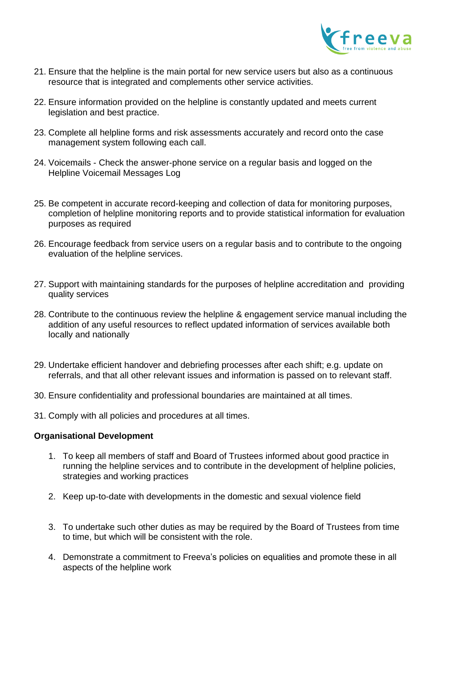

- 21. Ensure that the helpline is the main portal for new service users but also as a continuous resource that is integrated and complements other service activities.
- 22. Ensure information provided on the helpline is constantly updated and meets current legislation and best practice.
- 23. Complete all helpline forms and risk assessments accurately and record onto the case management system following each call.
- 24. Voicemails Check the answer-phone service on a regular basis and logged on the Helpline Voicemail Messages Log
- 25. Be competent in accurate record-keeping and collection of data for monitoring purposes, completion of helpline monitoring reports and to provide statistical information for evaluation purposes as required
- 26. Encourage feedback from service users on a regular basis and to contribute to the ongoing evaluation of the helpline services.
- 27. Support with maintaining standards for the purposes of helpline accreditation and providing quality services
- 28. Contribute to the continuous review the helpline & engagement service manual including the addition of any useful resources to reflect updated information of services available both locally and nationally
- 29. Undertake efficient handover and debriefing processes after each shift; e.g. update on referrals, and that all other relevant issues and information is passed on to relevant staff.
- 30. Ensure confidentiality and professional boundaries are maintained at all times.
- 31. Comply with all policies and procedures at all times.

#### **Organisational Development**

- 1. To keep all members of staff and Board of Trustees informed about good practice in running the helpline services and to contribute in the development of helpline policies, strategies and working practices
- 2. Keep up-to-date with developments in the domestic and sexual violence field
- 3. To undertake such other duties as may be required by the Board of Trustees from time to time, but which will be consistent with the role.
- 4. Demonstrate a commitment to Freeva's policies on equalities and promote these in all aspects of the helpline work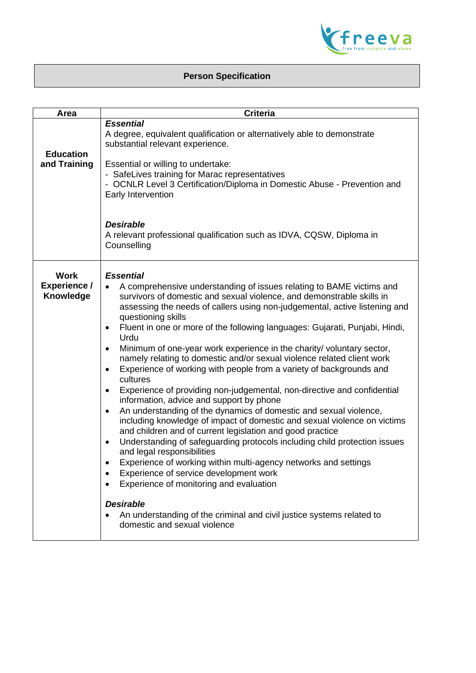

# **Person Specification**

| Area                                            | <b>Criteria</b>                                                                                                                                                                                                                                                                                                                                                                                                                                                                                                                                                                                                                                                                                                                                                                                                                                                                                                                                                                                                                                                                                                                                                                                                                                                                              |
|-------------------------------------------------|----------------------------------------------------------------------------------------------------------------------------------------------------------------------------------------------------------------------------------------------------------------------------------------------------------------------------------------------------------------------------------------------------------------------------------------------------------------------------------------------------------------------------------------------------------------------------------------------------------------------------------------------------------------------------------------------------------------------------------------------------------------------------------------------------------------------------------------------------------------------------------------------------------------------------------------------------------------------------------------------------------------------------------------------------------------------------------------------------------------------------------------------------------------------------------------------------------------------------------------------------------------------------------------------|
|                                                 | <b>Essential</b>                                                                                                                                                                                                                                                                                                                                                                                                                                                                                                                                                                                                                                                                                                                                                                                                                                                                                                                                                                                                                                                                                                                                                                                                                                                                             |
| <b>Education</b><br>and Training                | A degree, equivalent qualification or alternatively able to demonstrate<br>substantial relevant experience.<br>Essential or willing to undertake:<br>- SafeLives training for Marac representatives<br>- OCNLR Level 3 Certification/Diploma in Domestic Abuse - Prevention and<br>Early Intervention<br><b>Desirable</b>                                                                                                                                                                                                                                                                                                                                                                                                                                                                                                                                                                                                                                                                                                                                                                                                                                                                                                                                                                    |
|                                                 | A relevant professional qualification such as IDVA, CQSW, Diploma in<br>Counselling                                                                                                                                                                                                                                                                                                                                                                                                                                                                                                                                                                                                                                                                                                                                                                                                                                                                                                                                                                                                                                                                                                                                                                                                          |
| <b>Work</b><br><b>Experience /</b><br>Knowledge | <b>Essential</b><br>A comprehensive understanding of issues relating to BAME victims and<br>survivors of domestic and sexual violence, and demonstrable skills in<br>assessing the needs of callers using non-judgemental, active listening and<br>questioning skills<br>Fluent in one or more of the following languages: Gujarati, Punjabi, Hindi,<br>٠<br>Urdu<br>Minimum of one-year work experience in the charity/ voluntary sector,<br>$\bullet$<br>namely relating to domestic and/or sexual violence related client work<br>Experience of working with people from a variety of backgrounds and<br>$\bullet$<br>cultures<br>Experience of providing non-judgemental, non-directive and confidential<br>$\bullet$<br>information, advice and support by phone<br>An understanding of the dynamics of domestic and sexual violence,<br>٠<br>including knowledge of impact of domestic and sexual violence on victims<br>and children and of current legislation and good practice<br>Understanding of safeguarding protocols including child protection issues<br>$\bullet$<br>and legal responsibilities<br>Experience of working within multi-agency networks and settings<br>Experience of service development work<br>Experience of monitoring and evaluation<br><b>Desirable</b> |
|                                                 | An understanding of the criminal and civil justice systems related to<br>domestic and sexual violence                                                                                                                                                                                                                                                                                                                                                                                                                                                                                                                                                                                                                                                                                                                                                                                                                                                                                                                                                                                                                                                                                                                                                                                        |